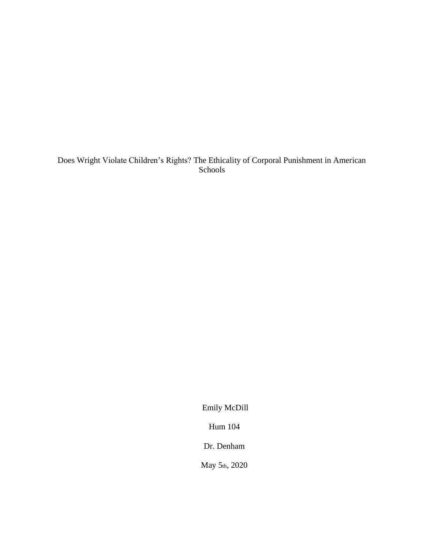## Does Wright Violate Children's Rights? The Ethicality of Corporal Punishment in American Schools

Emily McDill

Hum 104

Dr. Denham

May 5th, 2020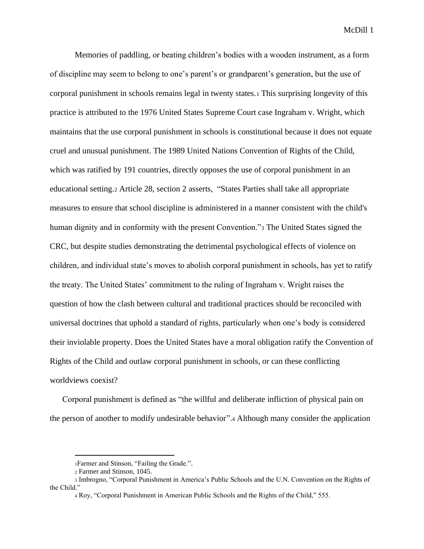Memories of paddling, or beating children's bodies with a wooden instrument, as a form of discipline may seem to belong to one's parent's or grandparent's generation, but the use of corporal punishment in schools remains legal in twenty states.<sup>1</sup> This surprising longevity of this practice is attributed to the 1976 United States Supreme Court case Ingraham v. Wright, which maintains that the use corporal punishment in schools is constitutional because it does not equate cruel and unusual punishment. The 1989 United Nations Convention of Rights of the Child, which was ratified by 191 countries, directly opposes the use of corporal punishment in an educational setting.<sup>2</sup> Article 28, section 2 asserts, "States Parties shall take all appropriate measures to ensure that school discipline is administered in a manner consistent with the child's human dignity and in conformity with the present Convention."<sup>3</sup> The United States signed the CRC, but despite studies demonstrating the detrimental psychological effects of violence on children, and individual state's moves to abolish corporal punishment in schools, has yet to ratify the treaty. The United States' commitment to the ruling of Ingraham v. Wright raises the question of how the clash between cultural and traditional practices should be reconciled with universal doctrines that uphold a standard of rights, particularly when one's body is considered their inviolable property. Does the United States have a moral obligation ratify the Convention of Rights of the Child and outlaw corporal punishment in schools, or can these conflicting worldviews coexist?

Corporal punishment is defined as "the willful and deliberate infliction of physical pain on the person of another to modify undesirable behavior".<sup>4</sup> Although many consider the application

<sup>1</sup>Farmer and Stinson, "Failing the Grade.".

<sup>2</sup> Farmer and Stinson, 1045.

<sup>3</sup> Imbrogno, "Corporal Punishment in America's Public Schools and the U.N. Convention on the Rights of the Child."

<sup>4</sup> Roy, "Corporal Punishment in American Public Schools and the Rights of the Child," 555.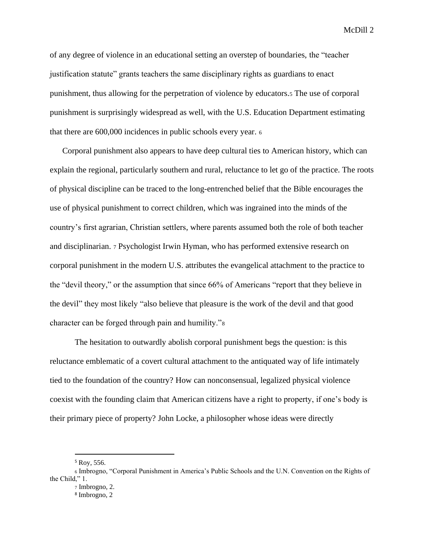of any degree of violence in an educational setting an overstep of boundaries, the "teacher justification statute" grants teachers the same disciplinary rights as guardians to enact punishment, thus allowing for the perpetration of violence by educators.<sup>5</sup> The use of corporal punishment is surprisingly widespread as well, with the U.S. Education Department estimating that there are 600,000 incidences in public schools every year. <sup>6</sup>

Corporal punishment also appears to have deep cultural ties to American history, which can explain the regional, particularly southern and rural, reluctance to let go of the practice. The roots of physical discipline can be traced to the long-entrenched belief that the Bible encourages the use of physical punishment to correct children, which was ingrained into the minds of the country's first agrarian, Christian settlers, where parents assumed both the role of both teacher and disciplinarian. <sup>7</sup> Psychologist Irwin Hyman, who has performed extensive research on corporal punishment in the modern U.S. attributes the evangelical attachment to the practice to the "devil theory," or the assumption that since 66% of Americans "report that they believe in the devil" they most likely "also believe that pleasure is the work of the devil and that good character can be forged through pain and humility."<sup>8</sup>

The hesitation to outwardly abolish corporal punishment begs the question: is this reluctance emblematic of a covert cultural attachment to the antiquated way of life intimately tied to the foundation of the country? How can nonconsensual, legalized physical violence coexist with the founding claim that American citizens have a right to property, if one's body is their primary piece of property? John Locke, a philosopher whose ideas were directly

<sup>5</sup> Roy, 556.

<sup>6</sup> Imbrogno, "Corporal Punishment in America's Public Schools and the U.N. Convention on the Rights of the Child," 1.

<sup>7</sup> Imbrogno, 2.

<sup>8</sup> Imbrogno, 2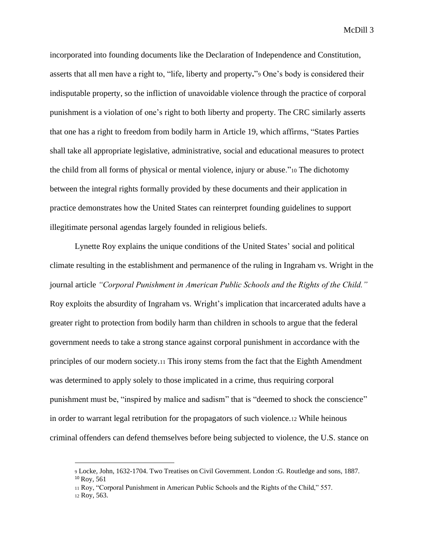incorporated into founding documents like the Declaration of Independence and Constitution, asserts that all men have a right to, "life, liberty and property**.**"<sup>9</sup> One's body is considered their indisputable property, so the infliction of unavoidable violence through the practice of corporal punishment is a violation of one's right to both liberty and property. The CRC similarly asserts that one has a right to freedom from bodily harm in Article 19, which affirms, "States Parties shall take all appropriate legislative, administrative, social and educational measures to protect the child from all forms of physical or mental violence, injury or abuse."<sup>10</sup> The dichotomy between the integral rights formally provided by these documents and their application in practice demonstrates how the United States can reinterpret founding guidelines to support illegitimate personal agendas largely founded in religious beliefs.

Lynette Roy explains the unique conditions of the United States' social and political climate resulting in the establishment and permanence of the ruling in Ingraham vs. Wright in the journal article *"Corporal Punishment in American Public Schools and the Rights of the Child."* Roy exploits the absurdity of Ingraham vs. Wright's implication that incarcerated adults have a greater right to protection from bodily harm than children in schools to argue that the federal government needs to take a strong stance against corporal punishment in accordance with the principles of our modern society.<sup>11</sup> This irony stems from the fact that the Eighth Amendment was determined to apply solely to those implicated in a crime, thus requiring corporal punishment must be, "inspired by malice and sadism" that is "deemed to shock the conscience" in order to warrant legal retribution for the propagators of such violence.<sup>12</sup> While heinous criminal offenders can defend themselves before being subjected to violence, the U.S. stance on

<sup>9</sup> Locke, John, 1632-1704. Two Treatises on Civil Government. London :G. Routledge and sons, 1887. <sup>10</sup> Roy, 561

<sup>11</sup> Roy, "Corporal Punishment in American Public Schools and the Rights of the Child," 557.

<sup>12</sup> Roy, 563.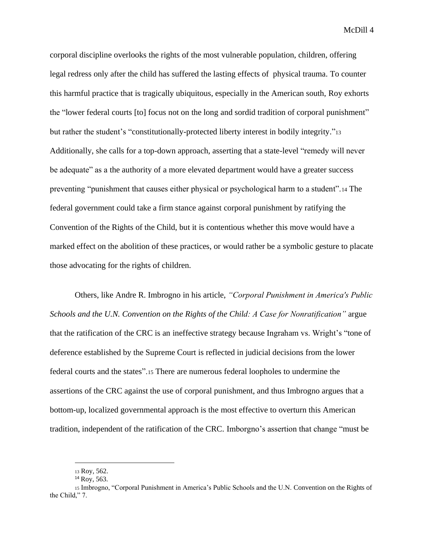corporal discipline overlooks the rights of the most vulnerable population, children, offering legal redress only after the child has suffered the lasting effects of physical trauma. To counter this harmful practice that is tragically ubiquitous, especially in the American south, Roy exhorts the "lower federal courts [to] focus not on the long and sordid tradition of corporal punishment" but rather the student's "constitutionally-protected liberty interest in bodily integrity."<sup>13</sup> Additionally, she calls for a top-down approach, asserting that a state-level "remedy will never be adequate" as a the authority of a more elevated department would have a greater success preventing "punishment that causes either physical or psychological harm to a student".<sup>14</sup> The federal government could take a firm stance against corporal punishment by ratifying the Convention of the Rights of the Child, but it is contentious whether this move would have a marked effect on the abolition of these practices, or would rather be a symbolic gesture to placate those advocating for the rights of children.

Others, like Andre R. Imbrogno in his article, *"Corporal Punishment in America's Public Schools and the U.N. Convention on the Rights of the Child: A Case for Nonratification"* argue that the ratification of the CRC is an ineffective strategy because Ingraham vs. Wright's "tone of deference established by the Supreme Court is reflected in judicial decisions from the lower federal courts and the states".<sup>15</sup> There are numerous federal loopholes to undermine the assertions of the CRC against the use of corporal punishment, and thus Imbrogno argues that a bottom-up, localized governmental approach is the most effective to overturn this American tradition, independent of the ratification of the CRC. Imborgno's assertion that change "must be

<sup>13</sup> Roy, 562.

<sup>14</sup> Roy, 563.

<sup>15</sup> Imbrogno, "Corporal Punishment in America's Public Schools and the U.N. Convention on the Rights of the Child," 7.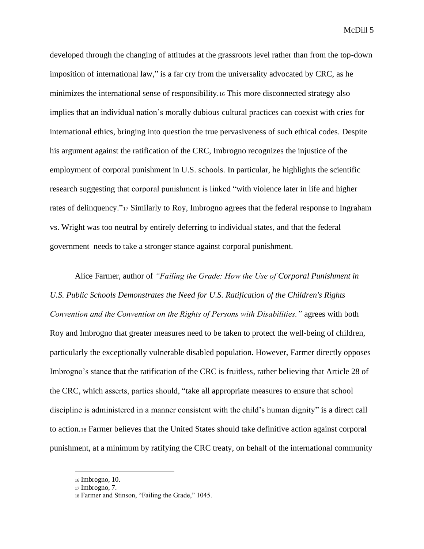developed through the changing of attitudes at the grassroots level rather than from the top-down imposition of international law," is a far cry from the universality advocated by CRC, as he minimizes the international sense of responsibility.<sup>16</sup> This more disconnected strategy also implies that an individual nation's morally dubious cultural practices can coexist with cries for international ethics, bringing into question the true pervasiveness of such ethical codes. Despite his argument against the ratification of the CRC, Imbrogno recognizes the injustice of the employment of corporal punishment in U.S. schools. In particular, he highlights the scientific research suggesting that corporal punishment is linked "with violence later in life and higher rates of delinquency."<sup>17</sup> Similarly to Roy, Imbrogno agrees that the federal response to Ingraham vs. Wright was too neutral by entirely deferring to individual states, and that the federal government needs to take a stronger stance against corporal punishment.

Alice Farmer, author of *"Failing the Grade: How the Use of Corporal Punishment in U.S. Public Schools Demonstrates the Need for U.S. Ratification of the Children's Rights Convention and the Convention on the Rights of Persons with Disabilities."* agrees with both Roy and Imbrogno that greater measures need to be taken to protect the well-being of children, particularly the exceptionally vulnerable disabled population. However, Farmer directly opposes Imbrogno's stance that the ratification of the CRC is fruitless, rather believing that Article 28 of the CRC, which asserts, parties should, "take all appropriate measures to ensure that school discipline is administered in a manner consistent with the child's human dignity" is a direct call to action.<sup>18</sup> Farmer believes that the United States should take definitive action against corporal punishment, at a minimum by ratifying the CRC treaty, on behalf of the international community

<sup>16</sup> Imbrogno, 10.

<sup>17</sup> Imbrogno, 7.

<sup>18</sup> Farmer and Stinson, "Failing the Grade," 1045.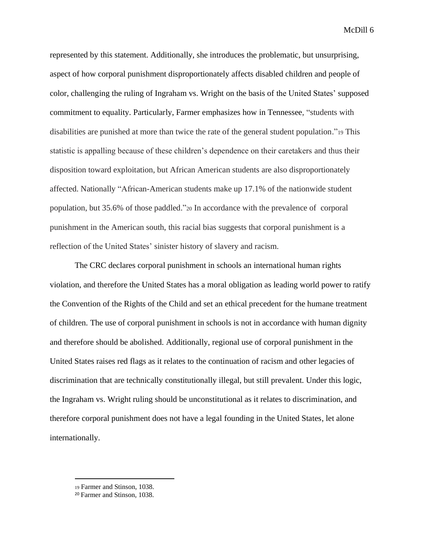represented by this statement. Additionally, she introduces the problematic, but unsurprising, aspect of how corporal punishment disproportionately affects disabled children and people of color, challenging the ruling of Ingraham vs. Wright on the basis of the United States' supposed commitment to equality. Particularly, Farmer emphasizes how in Tennessee, "students with disabilities are punished at more than twice the rate of the general student population."<sup>19</sup> This statistic is appalling because of these children's dependence on their caretakers and thus their disposition toward exploitation, but African American students are also disproportionately affected. Nationally "African-American students make up 17.1% of the nationwide student population, but 35.6% of those paddled."<sup>20</sup> In accordance with the prevalence of corporal punishment in the American south, this racial bias suggests that corporal punishment is a reflection of the United States' sinister history of slavery and racism.

The CRC declares corporal punishment in schools an international human rights violation, and therefore the United States has a moral obligation as leading world power to ratify the Convention of the Rights of the Child and set an ethical precedent for the humane treatment of children. The use of corporal punishment in schools is not in accordance with human dignity and therefore should be abolished. Additionally, regional use of corporal punishment in the United States raises red flags as it relates to the continuation of racism and other legacies of discrimination that are technically constitutionally illegal, but still prevalent. Under this logic, the Ingraham vs. Wright ruling should be unconstitutional as it relates to discrimination, and therefore corporal punishment does not have a legal founding in the United States, let alone internationally.

<sup>19</sup> Farmer and Stinson, 1038.

<sup>20</sup> Farmer and Stinson, 1038.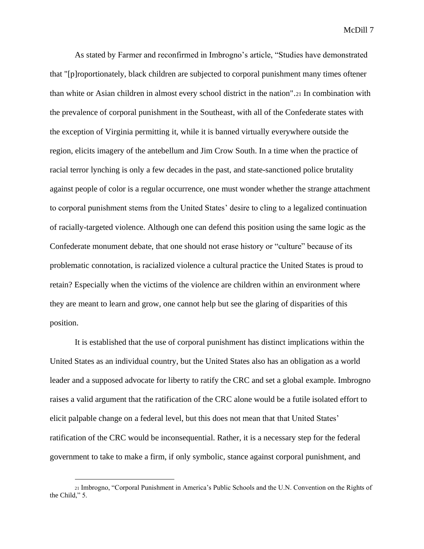As stated by Farmer and reconfirmed in Imbrogno's article, "Studies have demonstrated that "[p]roportionately, black children are subjected to corporal punishment many times oftener than white or Asian children in almost every school district in the nation".<sup>21</sup> In combination with the prevalence of corporal punishment in the Southeast, with all of the Confederate states with the exception of Virginia permitting it, while it is banned virtually everywhere outside the region, elicits imagery of the antebellum and Jim Crow South. In a time when the practice of racial terror lynching is only a few decades in the past, and state-sanctioned police brutality against people of color is a regular occurrence, one must wonder whether the strange attachment to corporal punishment stems from the United States' desire to cling to a legalized continuation of racially-targeted violence. Although one can defend this position using the same logic as the Confederate monument debate, that one should not erase history or "culture" because of its problematic connotation, is racialized violence a cultural practice the United States is proud to retain? Especially when the victims of the violence are children within an environment where they are meant to learn and grow, one cannot help but see the glaring of disparities of this position.

It is established that the use of corporal punishment has distinct implications within the United States as an individual country, but the United States also has an obligation as a world leader and a supposed advocate for liberty to ratify the CRC and set a global example. Imbrogno raises a valid argument that the ratification of the CRC alone would be a futile isolated effort to elicit palpable change on a federal level, but this does not mean that that United States' ratification of the CRC would be inconsequential. Rather, it is a necessary step for the federal government to take to make a firm, if only symbolic, stance against corporal punishment, and

<sup>21</sup> Imbrogno, "Corporal Punishment in America's Public Schools and the U.N. Convention on the Rights of the Child," 5.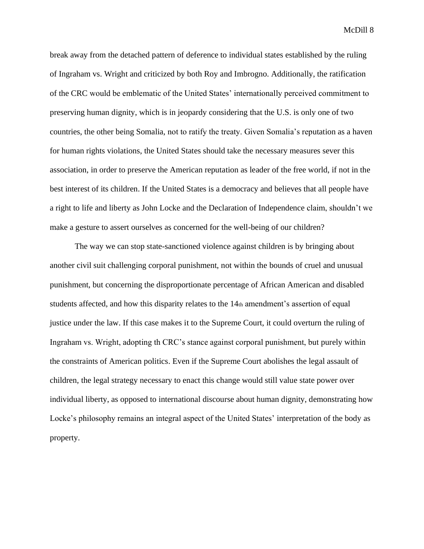break away from the detached pattern of deference to individual states established by the ruling of Ingraham vs. Wright and criticized by both Roy and Imbrogno. Additionally, the ratification of the CRC would be emblematic of the United States' internationally perceived commitment to preserving human dignity, which is in jeopardy considering that the U.S. is only one of two countries, the other being Somalia, not to ratify the treaty. Given Somalia's reputation as a haven for human rights violations, the United States should take the necessary measures sever this association, in order to preserve the American reputation as leader of the free world, if not in the best interest of its children. If the United States is a democracy and believes that all people have a right to life and liberty as John Locke and the Declaration of Independence claim, shouldn't we make a gesture to assert ourselves as concerned for the well-being of our children?

The way we can stop state-sanctioned violence against children is by bringing about another civil suit challenging corporal punishment, not within the bounds of cruel and unusual punishment, but concerning the disproportionate percentage of African American and disabled students affected, and how this disparity relates to the  $14<sub>th</sub>$  amendment's assertion of equal justice under the law. If this case makes it to the Supreme Court, it could overturn the ruling of Ingraham vs. Wright, adopting th CRC's stance against corporal punishment, but purely within the constraints of American politics. Even if the Supreme Court abolishes the legal assault of children, the legal strategy necessary to enact this change would still value state power over individual liberty, as opposed to international discourse about human dignity, demonstrating how Locke's philosophy remains an integral aspect of the United States' interpretation of the body as property.